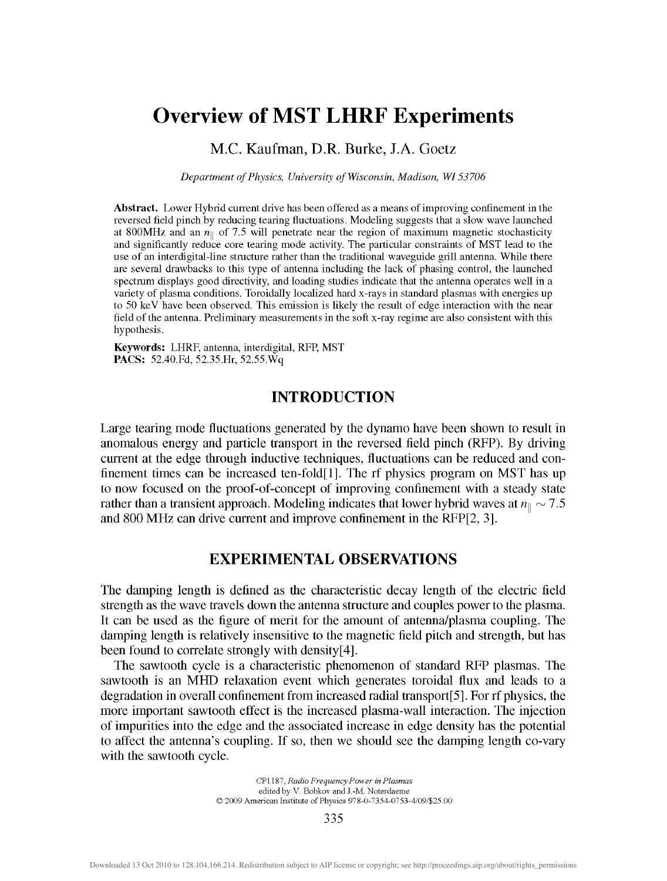# Overview of MST LHRF Experiments

### M.C. Kaufman, D.R. Burke, J.A. Goetz

*Department of Physics, University of Wisconsin, Madison, WI53706* 

**Abstract.** Lower Hybrid current drive has been offered as a means of improving confinement in the reversed field pinch by reducing tearing fluctuations. Modeling suggests that a slow wave launched at 800MHz and an  $n_{\parallel}$  of 7.5 will penetrate near the region of maximum magnetic stochasticity and significantly reduce core tearing mode activity. The particular constraints of MST lead to the use of an interdigital-line structure rather than the traditional waveginde grill antenna. While there are several drawbacks to this type of antenna including the lack of phasing control, the launched spectrum displays good directivity, and loading studies indicate that the antenna operates well in a variety of plasma conditions. Toroidally localized hard x-rays in standard plasmas with energies up to 50 keV have been observed. This emission is likely the result of edge interaction with the near field of the antenna. Preliminary measurements in the soft x-ray regime are also consistent with this hypothesis.

**Keywords:** LHRF, antenna, interdigital, RFP, MST **PACS:** 52.40.Fd, 52.35.Hr, 52.55.Wq

# INTRODUCTION

Large tearing mode fluctuations generated by the dynamo have been shown to result in anomalous energy and particle transport in the reversed field pinch (RFP). By driving current at the edge through inductive techniques, fluctuations can be reduced and confinement times can be increased ten-fold[l]. The rf physics program on MST has up to now focused on the proof-of-concept of improving confinement with a steady state rather than a transient approach. Modeling indicates that lower hybrid waves at  $n_{\parallel} \sim 7.5$ and 800 MHz can drive current and improve confinement in the RFP[2, 3].

# EXPERIMENTAL OBSERVATIONS

The damping length is defined as the characteristic decay length of the electric field strength as the wave travels down the antenna structure and couples power to the plasma. It can be used as the figure of merit for the amount of antenna/plasma coupling. The damping length is relatively insensitive to the magnetic field pitch and strength, but has been found to correlate strongly with density [4].

The sawtooth cycle is a characteristic phenomenon of standard RFP plasmas. The sawtooth is an MHD relaxation event which generates toroidal flux and leads to a degradation in overall confinement from increased radial transport[5]. For rf physics, the more important sawtooth effect is the increased plasma-wall interaction. The injection of impurities into the edge and the associated increase in edge density has the potential to affect the antenna's coupling. If so, then we should see the damping length co-vary with the sawtooth cycle.

> CPl 187, *Radio Frequency Power in Plasmas*  edited by V. Bobkov and J.-M. Noterdaeme ©2009 American Institute of Physics 978-0-7354-0753-4/09/\$25.00

> > 335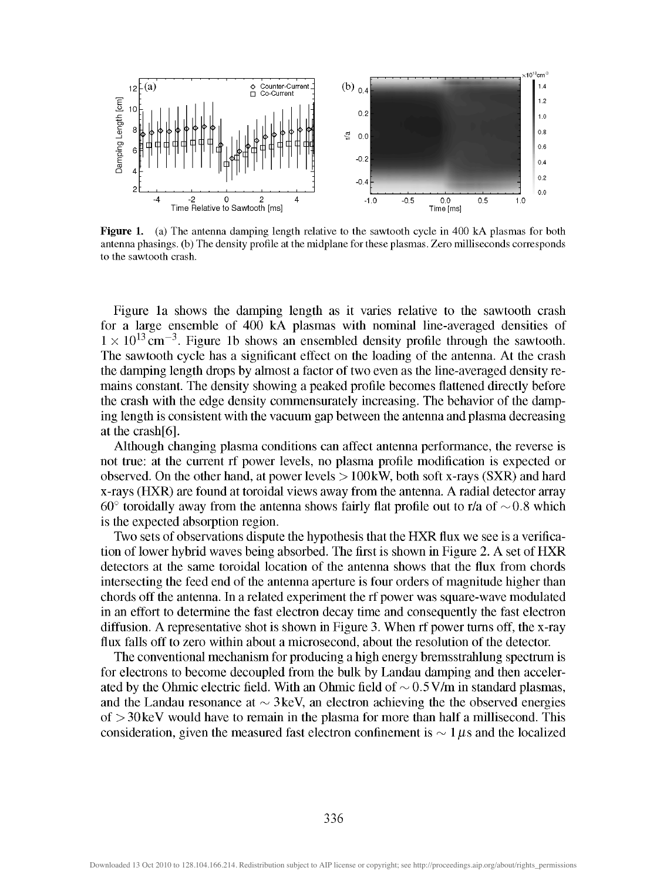

Figure 1. (a) The antenna damping length relative to the sawtooth cycle in 400 kA plasmas for both antenna phasings. (b) The density profile at the midplane for these plasmas. Zero milliseconds corresponds to the sawtooth crash.

Figure la shows the damping length as it varies relative to the sawtooth crash for a large ensemble of 400 kA plasmas with nominal line-averaged densities of  $1 \times 10^{13}$  cm<sup>-3</sup>. Figure 1b shows an ensembled density profile through the sawtooth. The sawtooth cycle has a significant effect on the loading of the antenna. At the crash the damping length drops by almost a factor of two even as the line-averaged density remains constant. The density showing a peaked profile becomes flattened directly before the crash with the edge density commensurately increasing. The behavior of the damping length is consistent with the vacuum gap between the antenna and plasma decreasing at the crash [6].

Although changing plasma conditions can affect antenna performance, the reverse is not true: at the current rf power levels, no plasma profile modification is expected or observed. On the other hand, at power levels  $> 100$ kW, both soft x-rays (SXR) and hard x-rays (FfXR) are found at toroidal views away from the antenna. A radial detector array 60 $\degree$  toroidally away from the antenna shows fairly flat profile out to r/a of  $\sim$  0.8 which is the expected absorption region.

Two sets of observations dispute the hypothesis that the HXR flux we see is a verification of lower hybrid waves being absorbed. The first is shown in Figure 2. A set of HXR detectors at the same toroidal location of the antenna shows that the flux from chords intersecting the feed end of the antenna aperture is four orders of magnitude higher than chords off the antenna. In a related experiment the rf power was square-wave modulated in an effort to determine the fast electron decay time and consequently the fast electron diffusion. A representative shot is shown in Figure 3. When rf power turns off, the x-ray flux falls off to zero within about a microsecond, about the resolution of the detector.

The conventional mechanism for producing a high energy bremsstrahlung spectrum is for electrons to become decoupled from the bulk by Landau damping and then accelerated by the Ohmic electric field. With an Ohmic field of  $\sim$  0.5 V/m in standard plasmas, and the Landau resonance at  $\sim$  3keV, an electron achieving the the observed energies  $of > 30 \,\text{keV}$  would have to remain in the plasma for more than half a millisecond. This consideration, given the measured fast electron confinement is  $\sim$  1  $\mu$ s and the localized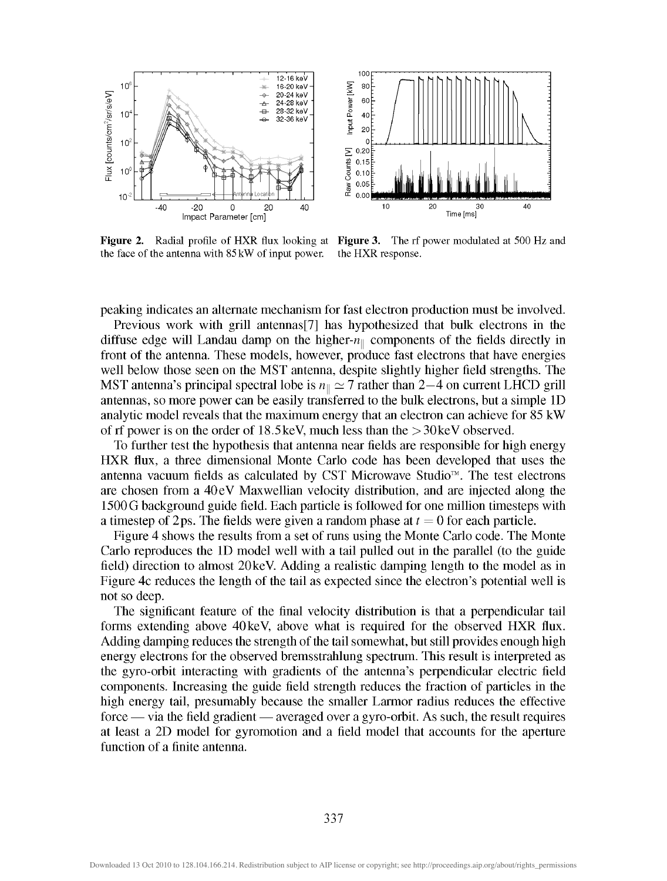



the face of the antenna with  $85 \text{kW}$  of input power. the HXR response.

**Figure 2.** Radial profile of HXR flux looking at **Figure 3.** The rf power modulated at 500 Hz and

peaking indicates an alternate mechanism for fast electron production must be involved.

Previous work with grill antennas<sup>[7]</sup> has hypothesized that bulk electrons in the diffuse edge will Landau damp on the higher- $n_{\parallel}$  components of the fields directly in front of the antenna. These models, however, produce fast electrons that have energies well below those seen on the MST antenna, despite slightly higher field strengths. The MST antenna's principal spectral lobe is  $n_{\parallel} \simeq 7$  rather than 2–4 on current LHCD grill antennas, so more power can be easily transferred to the bulk electrons, but a simple ID analytic model reveals that the maximum energy that an electron can achieve for 85 kW of rf power is on the order of 18.5keV, much less than the > 30keV observed.

To further test the hypothesis that antenna near fields are responsible for high energy HXR flux, a three dimensional Monte Carlo code has been developed that uses the antenna vacuum fields as calculated by CST Microwave Studio™. The test electrons are chosen from a 40eV Maxwelhan velocity distribution, and are injected along the 1500 G background guide field. Each particle is followed for one milhon timesteps with a timestep of 2ps. The fields were given a random phase at  $t = 0$  for each particle.

Figure 4 shows the results from a set of runs using the Monte Carlo code. The Monte Carlo reproduces the ID model well with a tail pulled out in the parallel (to the guide field) direction to almost 20keV. Adding a realistic damping length to the model as in Figure 4c reduces the length of the tail as expected since the electron's potential well is not so deep.

The significant feature of the final velocity distribution is that a perpendicular tail forms extending above 40keV, above what is required for the observed HXR flux. Adding damping reduces the strength of the tail somewhat, but still provides enough high energy electrons for the observed bremsstrahlung spectrum. This result is interpreted as the gyro-orbit interacting with gradients of the antenna's perpendicular electric field components. Increasing the guide field strength reduces the fraction of particles in the high energy tail, presumably because the smaller Larmor radius reduces the effective force — via the field gradient — averaged over a gyro-orbit. As such, the result requires at least a 2D model for gyromotion and a field model that accounts for the aperture function of a finite antenna.